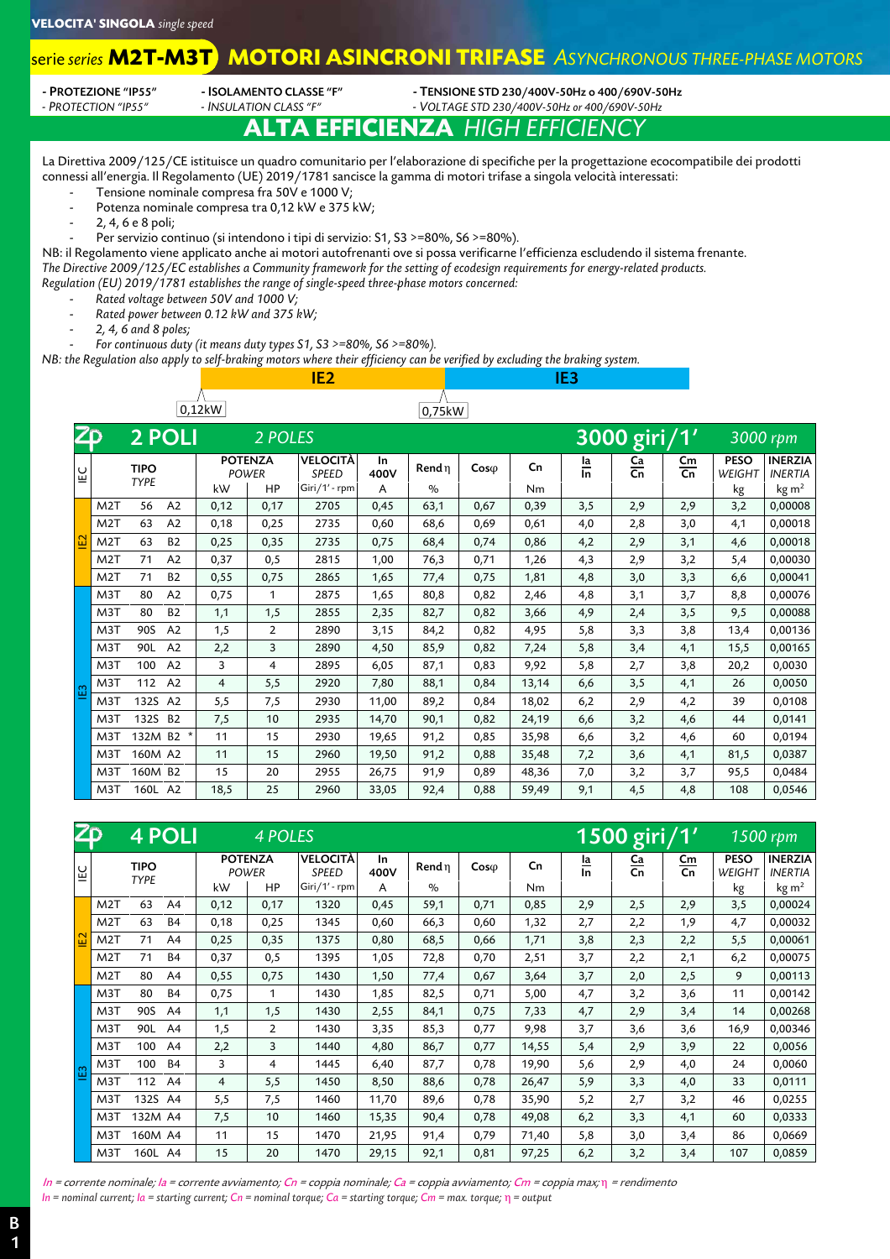#### **MOTORI ASINCRONI TRIFASE** *ASYNCHRONOUS THREE-PHASE MOTORS* serie *series* **M2T-M3T**

| - PROTEZIONE "IP55" |  |
|---------------------|--|
|                     |  |

- **ISOLAMENTO CLASSE "F"** - TENSIONE STD 230/400V-50Hz o 400/690V-50Hz<br>- INSULATION CLASS "F" - VOLTAGE STD 230/400V-50Hz or 400/690V-50Hz *- PROTECTION "IP55" - INSULATION CLASS "F" - VOLTAGE STD 230/400V-50Hz or 400/690V-50Hz*

## **ALTA EFFICIENZA** *HIGH EFFICIENC*

La Direttiva 2009/125/CE istituisce un quadro comunitario per l'elaborazione di specifiche per la progettazione ecocompatibile dei prodotti connessi all'energia. Il Regolamento (UE) 2019/1781 sancisce la gamma di motori trifase a singola velocità interessati:

- Tensione nominale compresa fra 50V e 1000 V;
- Potenza nominale compresa tra 0,12 kW e 375 kW;
- 2, 4, 6 e 8 poli;
- Per servizio continuo (si intendono i tipi di servizio: S1, S3 >=80%, S6 >=80%).

NB: il Regolamento viene applicato anche ai motori autofrenanti ove si possa verificarne l'efficienza escludendo il sistema frenante. *The Directive 2009/125/EC establishes a Community framework for the setting of ecodesign requirements for energy-related products. Regulation (EU) 2019/1781 establishes the range of single-speed three-phase motors concerned:* 

- *Rated voltage between 50V and 1000 V;*
- *Rated power between 0.12 kW and 375 kW;*
- *2, 4, 6 and 8 poles;*
- *For continuous duty (it means duty types S1, S3 >=80%, S6 >=80%).*

*NB: the Regulation also apply to self-braking motors where their efficiency can be verified by excluding the braking system.* 

| 0,12kW          |                  |                            |                |                |                         |                          |            | 0,75kW |              |       |                               |               |                     |                       |                                  |
|-----------------|------------------|----------------------------|----------------|----------------|-------------------------|--------------------------|------------|--------|--------------|-------|-------------------------------|---------------|---------------------|-----------------------|----------------------------------|
| $\overline{2p}$ |                  |                            | <b>2 POLI</b>  |                | 2 POLES                 |                          |            |        |              |       |                               | 3000 giri/1'  |                     | 3000 rpm              |                                  |
| ŪΞ              |                  | <b>TIPO</b><br><b>TYPE</b> |                |                | <b>POTENZA</b><br>POWER | VELOCITÀ<br><b>SPEED</b> | In<br>400V | Rend n | $Cos\varphi$ | Cn    | $\frac{\text{la}}{\text{ln}}$ | $rac{Ca}{Cn}$ | $\mathsf{Cm}$<br>Cn | <b>PESO</b><br>WEIGHT | <b>INERZIA</b><br><b>INERTIA</b> |
|                 |                  | 56                         | A2             | kW             | HP                      | Giri/1' - rpm<br>2705    | A          | $\%$   |              | Nm    |                               |               |                     | kg                    | kg m <sup>2</sup><br>0,00008     |
|                 | M <sub>2</sub> T |                            |                | 0,12           | 0,17                    |                          | 0,45       | 63,1   | 0,67         | 0,39  | 3,5                           | 2,9           | 2,9                 | 3,2                   |                                  |
|                 | M <sub>2</sub> T | 63                         | A <sub>2</sub> | 0,18           | 0,25                    | 2735                     | 0,60       | 68,6   | 0,69         | 0,61  | 4,0                           | 2,8           | 3,0                 | 4,1                   | 0,00018                          |
| <b>E2</b>       | M <sub>2</sub> T | 63                         | <b>B2</b>      | 0,25           | 0,35                    | 2735                     | 0,75       | 68,4   | 0,74         | 0,86  | 4,2                           | 2,9           | 3,1                 | 4,6                   | 0,00018                          |
|                 | M <sub>2</sub> T | 71                         | A2             | 0,37           | 0,5                     | 2815                     | 1,00       | 76,3   | 0,71         | 1,26  | 4,3                           | 2,9           | 3,2                 | 5,4                   | 0,00030                          |
|                 | M <sub>2</sub> T | 71                         | <b>B2</b>      | 0,55           | 0,75                    | 2865                     | 1,65       | 77,4   | 0,75         | 1,81  | 4,8                           | 3,0           | 3,3                 | 6,6                   | 0,00041                          |
|                 | M <sub>3</sub> T | 80                         | A2             | 0,75           | 1                       | 2875                     | 1,65       | 80,8   | 0,82         | 2,46  | 4,8                           | 3,1           | 3,7                 | 8,8                   | 0,00076                          |
|                 | M <sub>3</sub> T | 80                         | <b>B2</b>      | 1,1            | 1,5                     | 2855                     | 2,35       | 82,7   | 0,82         | 3,66  | 4,9                           | 2,4           | 3,5                 | 9,5                   | 0,00088                          |
|                 | M3T              | 90S                        | A2             | 1,5            | 2                       | 2890                     | 3,15       | 84,2   | 0,82         | 4,95  | 5,8                           | 3,3           | 3,8                 | 13,4                  | 0,00136                          |
|                 | M <sub>3</sub> T | 90L                        | A2             | 2,2            | 3                       | 2890                     | 4,50       | 85,9   | 0,82         | 7,24  | 5,8                           | 3,4           | 4,1                 | 15,5                  | 0,00165                          |
|                 | M <sub>3</sub> T | 100                        | A <sub>2</sub> | 3              | 4                       | 2895                     | 6,05       | 87,1   | 0,83         | 9,92  | 5,8                           | 2,7           | 3,8                 | 20,2                  | 0,0030                           |
| <b>E3</b>       | M <sub>3</sub> T | 112                        | A2             | $\overline{4}$ | 5,5                     | 2920                     | 7,80       | 88,1   | 0,84         | 13,14 | 6,6                           | 3,5           | 4,1                 | 26                    | 0,0050                           |
|                 | M <sub>3</sub> T | 132S A2                    |                | 5,5            | 7,5                     | 2930                     | 11,00      | 89,2   | 0,84         | 18,02 | 6,2                           | 2,9           | 4,2                 | 39                    | 0,0108                           |
|                 | M <sub>3</sub> T | 132S B2                    |                | 7,5            | 10                      | 2935                     | 14,70      | 90,1   | 0,82         | 24,19 | 6,6                           | 3,2           | 4,6                 | 44                    | 0,0141                           |
|                 | M <sub>3</sub> T | 132M B2                    |                | 11             | 15                      | 2930                     | 19,65      | 91,2   | 0,85         | 35,98 | 6,6                           | 3,2           | 4,6                 | 60                    | 0,0194                           |
|                 | M <sub>3</sub> T | 160M A2                    |                | 11             | 15                      | 2960                     | 19,50      | 91,2   | 0,88         | 35,48 | 7,2                           | 3,6           | 4,1                 | 81,5                  | 0,0387                           |
|                 | M <sub>3</sub> T | 160M B2                    |                | 15             | 20                      | 2955                     | 26,75      | 91,9   | 0,89         | 48,36 | 7,0                           | 3,2           | 3,7                 | 95,5                  | 0,0484                           |
|                 | M3T              | 160L A2                    |                | 18,5           | 25                      | 2960                     | 33,05      | 92,4   | 0,88         | 59,49 | 9,1                           | 4,5           | 4,8                 | 108                   | 0,0546                           |

IE2 IE3

| Z <sub>D</sub> |                  |                            | <b>4 POLI</b>  |      | 4 POLES                        |                          |            |               |              |       |                               | $1500$ giri/1' |          |                       | $1500$ rpm                       |
|----------------|------------------|----------------------------|----------------|------|--------------------------------|--------------------------|------------|---------------|--------------|-------|-------------------------------|----------------|----------|-----------------------|----------------------------------|
| ĪΞ             |                  | <b>TIPO</b><br><b>TYPE</b> |                |      | <b>POTENZA</b><br><b>POWER</b> | VELOCITÀ<br><b>SPEED</b> | In<br>400V | Rend n        | $Cos\varphi$ | Cn    | $\frac{\text{Ia}}{\text{In}}$ | Ca<br>Cn       | Cm<br>Cn | <b>PESO</b><br>WEIGHT | <b>INERZIA</b><br><b>INERTIA</b> |
|                |                  |                            |                | kW   | HP                             | Giri/1' - rpm            | A          | $\frac{0}{0}$ |              | Nm    |                               |                |          | kg                    | kg m <sup>2</sup>                |
|                | M <sub>2</sub> T | 63                         | A4             | 0,12 | 0,17                           | 1320                     | 0,45       | 59,1          | 0,71         | 0,85  | 2,9                           | 2,5            | 2,9      | 3,5                   | 0,00024                          |
|                | M <sub>2</sub> T | 63                         | <b>B4</b>      | 0,18 | 0,25                           | 1345                     | 0,60       | 66,3          | 0,60         | 1,32  | 2,7                           | 2,2            | 1,9      | 4,7                   | 0,00032                          |
| 읎              | $M2$ T           | 71                         | A4             | 0,25 | 0,35                           | 1375                     | 0,80       | 68,5          | 0,66         | 1,71  | 3,8                           | 2,3            | 2,2      | 5,5                   | 0,00061                          |
|                | M <sub>2</sub> T | 71                         | <b>B4</b>      | 0,37 | 0,5                            | 1395                     | 1,05       | 72,8          | 0,70         | 2,51  | 3,7                           | 2,2            | 2,1      | 6,2                   | 0,00075                          |
|                | M <sub>2</sub> T | 80                         | A <sub>4</sub> | 0,55 | 0,75                           | 1430                     | 1,50       | 77,4          | 0,67         | 3,64  | 3,7                           | 2,0            | 2,5      | 9                     | 0,00113                          |
|                | M3T              | 80                         | <b>B4</b>      | 0,75 | 1                              | 1430                     | 1,85       | 82,5          | 0,71         | 5,00  | 4,7                           | 3,2            | 3,6      | 11                    | 0,00142                          |
|                | M <sub>3</sub> T | 90S                        | A <sub>4</sub> | 1,1  | 1,5                            | 1430                     | 2,55       | 84,1          | 0,75         | 7,33  | 4,7                           | 2,9            | 3,4      | 14                    | 0,00268                          |
|                | M3T              | 90L                        | A <sub>4</sub> | 1,5  | $\overline{2}$                 | 1430                     | 3,35       | 85,3          | 0,77         | 9,98  | 3,7                           | 3,6            | 3,6      | 16,9                  | 0,00346                          |
|                | M3T              | 100                        | A <sub>4</sub> | 2,2  | 3                              | 1440                     | 4,80       | 86,7          | 0,77         | 14,55 | 5,4                           | 2,9            | 3,9      | 22                    | 0,0056                           |
| <b>E3</b>      | M3T              | 100                        | <b>B4</b>      | 3    | 4                              | 1445                     | 6,40       | 87,7          | 0,78         | 19,90 | 5,6                           | 2,9            | 4,0      | 24                    | 0,0060                           |
|                | M <sub>3</sub> T | 112                        | A <sub>4</sub> | 4    | 5,5                            | 1450                     | 8,50       | 88,6          | 0,78         | 26,47 | 5,9                           | 3,3            | 4,0      | 33                    | 0,0111                           |
|                | M <sub>3</sub> T | 132S A4                    |                | 5,5  | 7,5                            | 1460                     | 11,70      | 89,6          | 0,78         | 35,90 | 5,2                           | 2,7            | 3,2      | 46                    | 0,0255                           |
|                | M3T              | 132M A4                    |                | 7,5  | 10                             | 1460                     | 15,35      | 90,4          | 0,78         | 49,08 | 6,2                           | 3,3            | 4,1      | 60                    | 0,0333                           |
|                | M3T              | 160M A4                    |                | 11   | 15                             | 1470                     | 21,95      | 91,4          | 0,79         | 71,40 | 5,8                           | 3,0            | 3,4      | 86                    | 0,0669                           |
|                | M <sub>3</sub> T | 160L A4                    |                | 15   | 20                             | 1470                     | 29,15      | 92,1          | 0,81         | 97,25 | 6,2                           | 3,2            | 3,4      | 107                   | 0,0859                           |

In = corrente nominale; Ia = corrente avviamento; Cn = coppia nominale; Ca = coppia avviamento; Cm = coppia max; η = rendimento *In = nominal current; Ia = starting current; Cn = nominal torque; Ca = starting torque; Cm = max. torque;* η *= output*